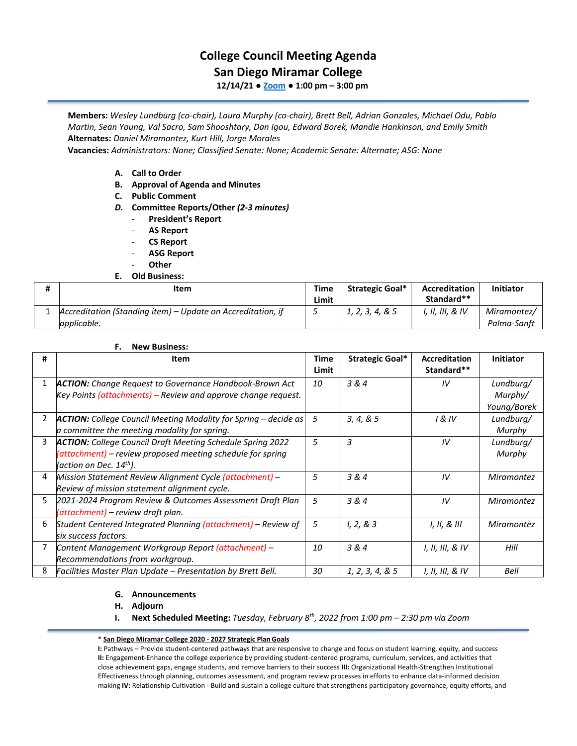# **College Council Meeting Agenda**

## **San Diego Miramar College**

**12/14/21 ● [Zoom](https://cccconfer.zoom.us/j/92354948089?pwd=clQvQ3pSdi84K2xTSnVLN1UyOXhpQT09) ● 1:00 pm – 3:00 pm**

**Members:** *Wesley Lundburg (co-chair), Laura Murphy (co-chair), Brett Bell, Adrian Gonzales, Michael Odu, Pablo Martin, Sean Young, Val Sacro, Sam Shooshtary, Dan Igou, Edward Borek, Mandie Hankinson, and Emily Smith*  **Alternates:** *Daniel Miramontez, Kurt Hill, Jorge Morales* 

**Vacancies:** *Administrators: None; Classified Senate: None; Academic Senate: Alternate; ASG: None*

- **A. Call to Order**
- **B. Approval of Agenda and Minutes**
- **C. Public Comment**
- *D.* **Committee Reports/Other** *(2-3 minutes)*
	- **President's Report**
	- **AS Report**
	- **CS Report**
	- **ASG Report**
	- **Other**

#### **E. Old Business:**

| Ħ | Item                                                                       | Time<br>Limit | <b>Strategic Goal*</b> | Accreditation<br>Standard** | Initiator                  |
|---|----------------------------------------------------------------------------|---------------|------------------------|-----------------------------|----------------------------|
|   | Accreditation (Standing item) – Update on Accreditation, if<br>applicable. |               | 1, 2, 3, 4, & 5        | I, II, III, & IV            | Miramontez/<br>Palma-Sanft |

#### **F. New Business:**

| #              | Item                                                                   | Time  | Strategic Goal*  | <b>Accreditation</b> | <b>Initiator</b>  |
|----------------|------------------------------------------------------------------------|-------|------------------|----------------------|-------------------|
|                |                                                                        | Limit |                  | Standard**           |                   |
| $\mathbf{1}$   | <b>ACTION:</b> Change Request to Governance Handbook-Brown Act         | 10    | 3 & 4            | IV                   | Lundburg/         |
|                | Key Points (attachments) – Review and approve change request.          |       |                  |                      | Murphy/           |
|                |                                                                        |       |                  |                      | Young/Borek       |
| $\overline{2}$ | <b>ACTION:</b> College Council Meeting Modality for Spring - decide as | 5     | 3, 4, 8, 5       | 1 & IV               | Lundburg/         |
|                | a committee the meeting modality for spring.                           |       |                  |                      | Murphy            |
| 3              | <b>ACTION:</b> College Council Draft Meeting Schedule Spring 2022      | 5     | 3                | IV                   | Lundburg/         |
|                | (attachment) - review proposed meeting schedule for spring             |       |                  |                      | Murphy            |
|                | (action on Dec. 14 <sup>th</sup> ).                                    |       |                  |                      |                   |
| 4              | Mission Statement Review Alignment Cycle (attachment) -                | 5     | 3 & 4            | IV                   | Miramontez        |
|                | Review of mission statement alignment cycle.                           |       |                  |                      |                   |
| 5              | 2021-2024 Program Review & Outcomes Assessment Draft Plan              | 5     | 3 & 4            | IV                   | <b>Miramontez</b> |
|                | (attachment) – review draft plan.                                      |       |                  |                      |                   |
| 6              | Student Centered Integrated Planning (attachment) - Review of          | 5     | 1, 2, 8, 3       | 1, 11, 8, 111        | <b>Miramontez</b> |
|                | six success factors.                                                   |       |                  |                      |                   |
|                | Content Management Workgroup Report (attachment) –                     | 10    | 3 & 4            | I, II, III, & IV     | Hill              |
|                | Recommendations from workgroup.                                        |       |                  |                      |                   |
| 8              | Facilities Master Plan Update - Presentation by Brett Bell.            | 30    | 1, 2, 3, 4, 8, 5 | I, II, III, & IV     | Bell              |

### **G. Announcements**

- **H. Adjourn**
- **I. Next Scheduled Meeting:** *Tuesday, February 8th, 2022 from 1:00 pm – 2:30 pm via Zoom*

#### \* **[San Diego Miramar College 2020](http://www.sdmiramar.edu/webfm_send/16106) - 2027 Strategic Plan Goals**

**I:** Pathways – Provide student-centered pathways that are responsive to change and focus on student learning, equity, and success **II:** Engagement-Enhance the college experience by providing student-centered programs, curriculum, services, and activities that close achievement gaps, engage students, and remove barriers to their success **III:** Organizational Health-Strengthen Institutional Effectiveness through planning, outcomes assessment, and program review processes in efforts to enhance data-informed decision making **IV:** Relationship Cultivation - Build and sustain a college culture that strengthens participatory governance, equity efforts, and